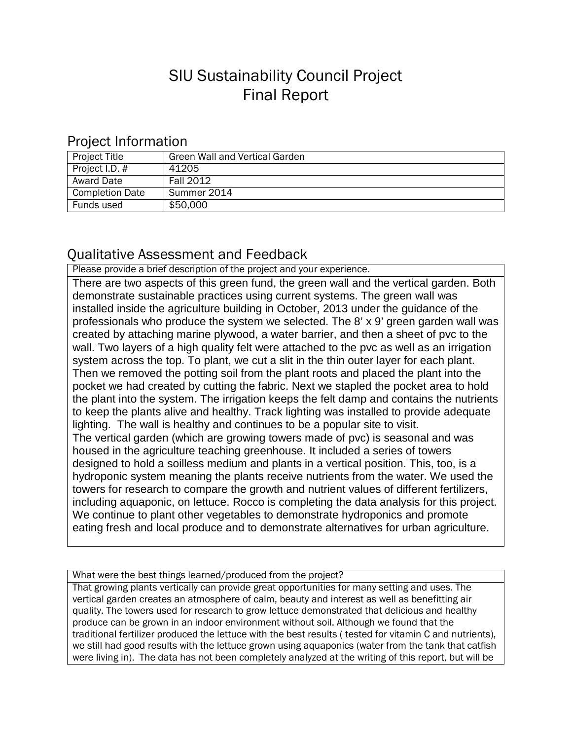## SIU Sustainability Council Project Final Report

## Project Information

| <b>Project Title</b>   | Green Wall and Vertical Garden |
|------------------------|--------------------------------|
| Project I.D. #         | 41205                          |
| <b>Award Date</b>      | Fall 2012                      |
| <b>Completion Date</b> | Summer 2014                    |
| Funds used             | \$50,000                       |

## Qualitative Assessment and Feedback

Please provide a brief description of the project and your experience.

There are two aspects of this green fund, the green wall and the vertical garden. Both demonstrate sustainable practices using current systems. The green wall was installed inside the agriculture building in October, 2013 under the guidance of the professionals who produce the system we selected. The 8' x 9' green garden wall was created by attaching marine plywood, a water barrier, and then a sheet of pvc to the wall. Two layers of a high quality felt were attached to the pvc as well as an irrigation system across the top. To plant, we cut a slit in the thin outer layer for each plant. Then we removed the potting soil from the plant roots and placed the plant into the pocket we had created by cutting the fabric. Next we stapled the pocket area to hold the plant into the system. The irrigation keeps the felt damp and contains the nutrients to keep the plants alive and healthy. Track lighting was installed to provide adequate lighting. The wall is healthy and continues to be a popular site to visit. The vertical garden (which are growing towers made of pvc) is seasonal and was housed in the agriculture teaching greenhouse. It included a series of towers designed to hold a soilless medium and plants in a vertical position. This, too, is a hydroponic system meaning the plants receive nutrients from the water. We used the towers for research to compare the growth and nutrient values of different fertilizers, including aquaponic, on lettuce. Rocco is completing the data analysis for this project. We continue to plant other vegetables to demonstrate hydroponics and promote eating fresh and local produce and to demonstrate alternatives for urban agriculture.

What were the best things learned/produced from the project?

That growing plants vertically can provide great opportunities for many setting and uses. The vertical garden creates an atmosphere of calm, beauty and interest as well as benefitting air quality. The towers used for research to grow lettuce demonstrated that delicious and healthy produce can be grown in an indoor environment without soil. Although we found that the traditional fertilizer produced the lettuce with the best results ( tested for vitamin C and nutrients), we still had good results with the lettuce grown using aquaponics (water from the tank that catfish were living in). The data has not been completely analyzed at the writing of this report, but will be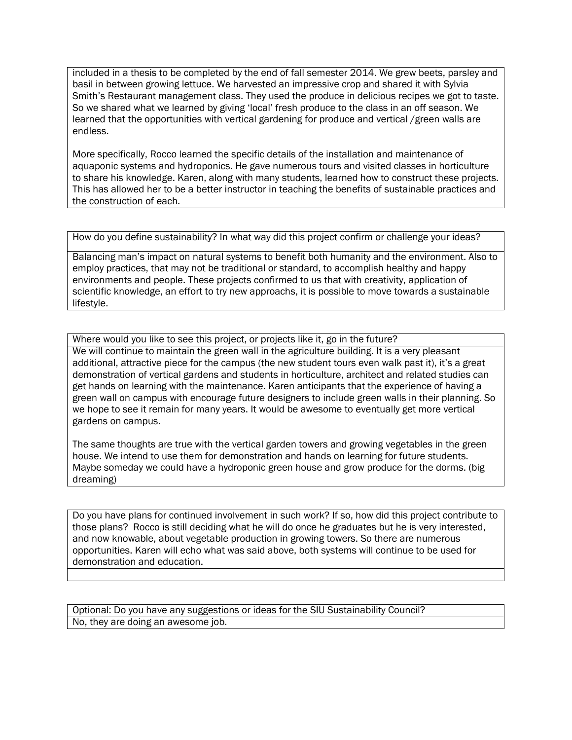included in a thesis to be completed by the end of fall semester 2014. We grew beets, parsley and basil in between growing lettuce. We harvested an impressive crop and shared it with Sylvia Smith's Restaurant management class. They used the produce in delicious recipes we got to taste. So we shared what we learned by giving 'local' fresh produce to the class in an off season. We learned that the opportunities with vertical gardening for produce and vertical /green walls are endless.

More specifically, Rocco learned the specific details of the installation and maintenance of aquaponic systems and hydroponics. He gave numerous tours and visited classes in horticulture to share his knowledge. Karen, along with many students, learned how to construct these projects. This has allowed her to be a better instructor in teaching the benefits of sustainable practices and the construction of each.

How do you define sustainability? In what way did this project confirm or challenge your ideas?

Balancing man's impact on natural systems to benefit both humanity and the environment. Also to employ practices, that may not be traditional or standard, to accomplish healthy and happy environments and people. These projects confirmed to us that with creativity, application of scientific knowledge, an effort to try new approachs, it is possible to move towards a sustainable lifestyle.

Where would you like to see this project, or projects like it, go in the future? We will continue to maintain the green wall in the agriculture building. It is a very pleasant additional, attractive piece for the campus (the new student tours even walk past it), it's a great demonstration of vertical gardens and students in horticulture, architect and related studies can get hands on learning with the maintenance. Karen anticipants that the experience of having a green wall on campus with encourage future designers to include green walls in their planning. So we hope to see it remain for many years. It would be awesome to eventually get more vertical gardens on campus.

The same thoughts are true with the vertical garden towers and growing vegetables in the green house. We intend to use them for demonstration and hands on learning for future students. Maybe someday we could have a hydroponic green house and grow produce for the dorms. (big dreaming)

Do you have plans for continued involvement in such work? If so, how did this project contribute to those plans? Rocco is still deciding what he will do once he graduates but he is very interested, and now knowable, about vegetable production in growing towers. So there are numerous opportunities. Karen will echo what was said above, both systems will continue to be used for demonstration and education.

Optional: Do you have any suggestions or ideas for the SIU Sustainability Council? No, they are doing an awesome job.